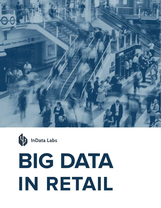



# **BIG DATA IN RETAIL**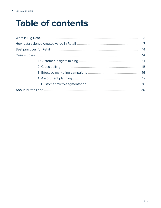۰

## **Table of contents**

| 3  |
|----|
|    |
| 14 |
| 14 |
| 14 |
| 15 |
| 16 |
|    |
| 18 |
| 20 |
|    |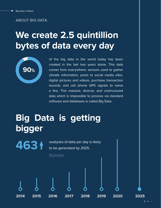#### **ABOUT BIG DATA**

### **We create 2.5 quintillion bytes of data every day**



**463**

of the big data in the world today has been created in the last two years alone. This data comes from everywhere: sensors used to gather climate information, posts to social media sites, digital pictures and videos, purchase transaction records, and cell phone GPS signals to name a few. This massive, diverse, and unstructured data which is impossible to process via standard software and databases is called Big Data.

## **Big Data is getting bigger**

exabytes of data per day is likely to be generated by 2025.

*[Raconteur](https://www.raconteur.net/infographics/a-day-in-data/)*

 $3 \cdot \cdot$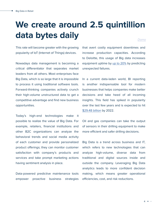### **We create around 2.5 quintillion data bytes daily** *[Domo](https://www.domo.com/learn/infographic/data-never-sleeps-5)*

This rate will become greater with the growing popularity of IoT (Internet of Things) devices.

Nowadays data management is becoming a critical differentiator that separates market leaders from all others. Most enterprises face Big Data, which is so large that it is impossible to process it using traditional software tools. Forward-thinking companies actively crunch their high-volume unstructured data to get a competitive advantage and find new business opportunities.

Today's high-end technologies make it possible to realize the value of Big Data. For example, retailers, financial institutions and other B2C organizations can analyze the behavioral trends and social media activity of each customer and provide personalized product offerings; they can monitor customer satisfaction with company's products and services and take prompt marketing actions having sentiment analysis in place.

Data-powered predictive maintenance tools empower proactive business strategies that avert costly equipment downtimes and increase production capacities. According to Deloitte, this usage of Big data increases equipment uptime by [up to 20%](https://www2.deloitte.com/content/dam/Deloitte/de/Documents/deloitte-analytics/Deloitte_Predictive-Maintenance_PositionPaper.pdf) by predicting unexpected failures.

In a current data-laden world, BI reporting is another indispensable tool for modern businesses that helps companies make better decisions and take heed of all incoming insights. This field has spiked in popularity over the last few years and is expected to hit [\\$29.48 billion](https://www.marketresearch.com/Stratistics-Market-Research-Consulting-v4058/Business-Intelligence-BI-Global-Outlook-10771683/) by 2022.

Oil and gas companies can take the output of sensors in their drilling equipment to make more efficient and safer drilling decisions.

Big Data is a trend across business and IT, which refers to new technologies that can analyze high-volume, diverse data from traditional and digital sources inside and outside the company. Leveraging Big Data analytics leads to more confident decision making, which means greater operational efficiencies, cost, and risk reductions.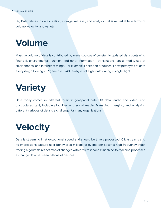Big Data relates to data creation, storage, retrieval, and analysis that is remarkable in terms of volume, velocity, and variety:

### **Volume**

Massive volume of data is contributed by many sources of constantly updated data containing financial, environmental, location, and other information - transactions, social media, use of smartphones, and Internet of things. For example, Facebook produces 4 new petabytes of data every day; a Boeing 737 generates 240 terabytes of flight data during a single flight.

### **Variety**

Data today comes in different formats: geospatial data, 3D data, audio and video, and unstructured text, including log files and social media. Managing, merging, and analyzing different varieties of data is a challenge for many organizations.

## **Velocity**

Data is streaming in at exceptional speed and should be timely processed. Clickstreams and ad impressions capture user behavior at millions of events per second; high-frequency stock trading algorithms reflect market changes within microseconds; machine-to-machine processes exchange data between billions of devices.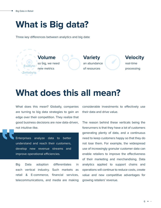### **What is Big data?**

Three key differences between analytics and big data:



### **What does this all mean?**

What does this mean? Globally, companies are turning to big data strategies to gain an edge over their competition. They realize that good business decisions are now data-driven, not intuitive-like.

Enterprises analyze data to better understand and reach their customers, develop new revenue streams and improve operational efficiencies.

Big Data adoption differentiates in each vertical industry. Such markets as retail & E-commerce, financial services, telecommunications, and media are making considerable investments to effectively use their data and drive value.

The reason behind these verticals being the forerunners is that they have a lot of customers generating plenty of data, and a continuous need to keep customers happy so that they do not lose them. For example, the widespread use of increasingly granular customer data can enable retailers to improve the effectiveness of their marketing and merchandising. Data analytics applied to support chains and operations will continue to reduce costs, create value and new competitive advantages for growing retailers' revenue.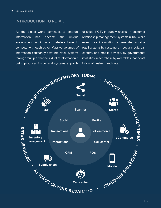÷

#### **INTRODUCTION TO RETAIL**

As the digital world continues to emerge, information has become the unique environment within which retailers have to compete with each other. Massive volumes of information constantly flow into retail systems through multiple channels. A lot of information is being produced inside retail systems: at points of sales (POS), in supply chains, in customer relationship management systems (CRM) while even more information is generated outside retail systems by customers in social media, call centers, and mobile devices, by governments (statistics, researches), by wearables that boost inflow of unstructured data.



 $7 \bullet$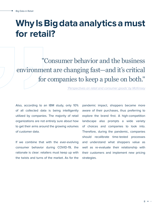### **Why Is Big data analytics a must for retail?**

"Consumer behavior and the business environment are changing fast—and it's critical for companies to keep a pulse on both."

*['Perspectives on retail and consumer goods' by McKinsey](https://www.mckinsey.com/~/media/mckinsey/industries/retail/our%20insights/perspectives%20on%20retail%20and%20consumer%20goods%20number%208/perspectives-on-retail-and-consumer-goods_issue-8.pdf)*

Also, according to an IBM study, only 10% of all collected data is being intelligently utilized by companies. The majority of retail organizations are not entirely sure about how to get their arms around the growing volumes of customer data.

If we combine that with the ever-evolving consumer behavior during COVID-19, the rationale is clear: retailers must keep up with the twists and turns of the market. As for the pandemic impact, shoppers became more aware of their purchases, thus preferring to explore the brand first. A high-competition landscape also prompts a wide variety of choices and companies to look into. Therefore, during the pandemic, companies should recalibrate time-tested processes and understand what shoppers value as well as re-evaluate their relationship with their customers and implement new pricing strategies.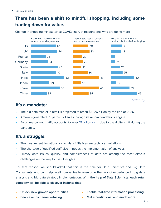#### **There has been a shift to mindful shopping, including some trading down for value.**

Change in shopping mindsetsince COVID-19; % of respondents who are doing more



#### **It's a mandate:**

- The big data market in retail is projected to reach \$13.26 billion by the end of 2026.
- Amazon generated 35 percent of sales through its recommendations engine.
- E-commerce web traffic accounts for over [21 billion visits](https://www.statista.com/statistics/1112595/covid-19-impact-retail-e-commerce-site-traffic-global/) due to the digital shift during the pandemic.

#### **It's a struggle:**

- The most recent limitations for big data initiatives are technical limitations.
- The shortage of qualified staff also impedes the implementation of analytics.
- Privacy data issues, quality, and completeness of data are among the most difficult challenges on the way to useful insights.

For that reason, we should admit that this is the time for Data Scientists and Big Data Consultants who can help retail companies to overcome the lack of experience in big data analysis and big data strategy implementation. **With the help of Data Scientists, each retail company will be able to discover insights that:**

- **• Unlock new growth opportunities**
- **• Enable real-time information processing**
- **• Enable omnichannel retailing**
- **• Make predictions, and much more.**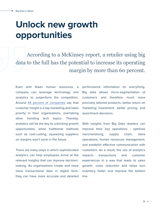### **Unlock new growth opportunities**

According to a McKinsey report, a retailer using big data to the full has the potential to increase its operating margin by more than 60 percent.

Even with fewer human resources, a company can leverage technology and analytics to outperform the competition. Around [44 percent of companies](https://www.mckinsey.com/business-functions/marketing-and-sales/solutions/periscope/news/press-releases/65-percent-of-businesses-say-customer-insights-should-be-a-true-thought-partner-of-the-entire-organization) say that customer insight is a top marketing and sales priority in their organizations, overtaking other trending tech topics. Thereby, analytics will be the key to unlocking growth opportunities, while traditional methods such as cost-cutting, squeezing suppliers on margins won't work in the future.

There are many ways in which sophisticated analytics can help employees arrive at the relevant insights that can improve decisionmaking. As organizations create and store more transactional data in digital form, they can have more accurate and detailed

performance information on everything. Big data allows micro-segmentation of customers and therefore much more precisely tailored products, better return on marketing investment, better pricing, and assortment decisions.

With insights from Big Data retailers can improve their key operations - optimize merchandising, supply chain, store operations, human resources management, and establish effective communication with customers. As a result, the use of analytics impacts transactions and customer experiences in a way that leads to sales growth, costs reduction and helps turn inventory faster and improve the bottom line.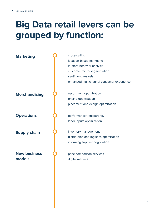## **Big Data retail levers can be grouped by function:**

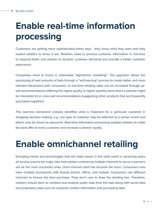## **Enable real-time information processing**

Customers are getting more sophisticated these days - they know what they want and they expect retailers to know it too. Retailers need to process customer information in real-time to respond faster and smarter to dynamic customer demands and provide a better customer experience.

Companies need to invest in automated "algorithmic marketing". The approach allows the processing of vast amounts of data through a "self-learning" process to create better and more relevant interactions with consumers. In real-time retailing sales can be increased through upsell recommendations (offering the higher quality or higher quantity items that a customer might be interested in) or cross-sell recommendations (suggesting other products that are frequently purchased together).

The real-time behavioral analysis identifies what is important for a particular customer in shopping decision-making, e.g. one type of customer may be addicted to a certain brand and others may be driven by discounts. Real-time information processing enables retailers to make the best offer to every customer and increase customer loyalty.

### **Enable omnichannel retailing**

Emerging trends and technologies that will make waves in the retail world in upcoming years all revolve around the major idea that retailers embracing multiple channels to serve customers will be the most successful ones. Omni-channel retail has become the norm. Consumers now have multiple touchpoints with brands (online, offline, and mobile). Consumers use different channels to ensure the best purchase. They don't care to draw the dividing line. Therefore, retailers should learn to combine and analyze public data from the web along with social data and proprietary data such as customer contact information and purchasing data.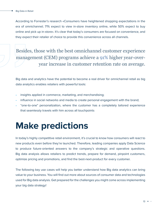According to Forrester's research «Consumers have heightened shopping expectations in the era of omnichannel; 71% expect to view in-store inventory online, while 50% expect to buy online and pick up in-store». It's clear that today's consumers are focused on convenience, and they expect their retailer of choice to provide this convenience across all channels.

Besides, those with the best omnichannel customer experience management (CEM) programs achieve a [91%](https://www.aberdeen.com/cmo-essentials/multi-channel-vs-omni-channel-customer-experience-distinct-value-in-the-subtle-differences/) higher year-overyear increase in customer retention rate on average.

Big data and analytics have the potential to become a real driver for omnichannel retail as big data analytics enables retailers with powerful tools:

- insights applied in commerce, marketing, and merchandising;
- influence in social networks and media to create personal engagement with the brand;
- "one-to-one" personalization, where the customer has a completely tailored experience that seamlessly travels with him across all touchpoints

### **Make predictions**

In today's highly competitive retail environment, it's crucial to know how consumers will react to new products even before they're launched. Therefore, leading companies apply Data Science to produce future-oriented answers to the company's strategic and operative questions. Big data analysis allows retailers to predict trends, prepare for demand, pinpoint customers, optimize pricing and promotions, and find the best-next-product for every customer.

The following key use cases will help you better understand how Big data analytics can bring value to your business. You will find out more about sources of consumer data and technologies used for Big data analysis. Get prepared for the challenges you might come across implementing your big data strategy!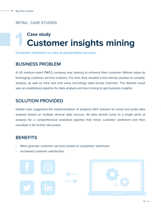#### **RETAIL. CASE STUDIES**

### **Customer insights mining Case study 1**

**Customer sentiment is a key to personalized services**

#### **BUSINESS PROBLEM**

A US medium-sized FMCG company was looking to enhance their customer lifetime value by leveraging customer service analytics. For that, they needed a text mining solution to compile, analyze, as well as mine text and voice recordings data across channels. The desired result was an established pipeline for data analysis and text mining to get business insights.

#### **SOLUTION PROVIDED**

InData Labs suggested the implementation of analytics NLP solution for email and audio data analysis based on multiple diverse data sources. All data should come to a single point of analysis for a comprehensive analytical pipeline that mines customer sentiment and then visualizes it for further discussion.

- More granular customer services based on customers' sentiment
- Increased customer satisfaction



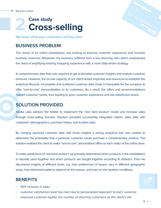

**We know what your customers will buy next**

#### **BUSINESS PROBLEM**

The owner of an online marketplace was looking to improve customer experience and increase business revenues. Moreover, the business suffered from a low returning ratio which emphasized the need of amplifying existing shopping experience with a more data-driven strategy.

A comprehensive data flow was required to get actionable customer insights and analyze customer behavior. However, the on-site capacity of our client lacked expertise and resources to establish the analytical lifecycle. Incomplete and scattered customer data made it impossible for the company to offer "one-to-one" personalization to its customers. As a result, the offers and recommendations missed customer needs, thus leading to poor customer experience and low satisfaction levels.

#### **SOLUTION PROVIDED**

InData Labs advised the retailer to implement the 'next best product' model and increase sales through cross-selling function. Solution provided successfully integrated historic sales data with customers' demographics, purchase history, and location data.

By merging personal customer data with these insights a strong analytical tool was created to determine the probability that a particular customer would purchase a complimentary product. The solution enabled the client to make "one-to-one" personalized offers to each visitor of the online store.

To make predictions of 'next best product' we primarily determined which products in the marketplace is naturally used together and which products are bought together according to statistics. Then we discovered insights of different kinds, e.g. how preferences of buyers vary in different geographic areas, how behavioral patterns depend on the season, and even on the weather conditions.



- 30% increase in sales
- customer satisfaction level has risen due to personalized approach to each customer
- improved customer loyalty: the number of returning customers on the client's site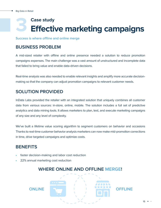### **Effective marketing campaigns Case study 3**

**Success is where offline and online merge**

#### **BUSINESS PROBLEM**

A mid-sized retailer with offline and online presence needed a solution to reduce promotion campaigns expenses. The main challenge was a vast amount of unstructured and incomplete data that failed to bring value and enable data-driven decisions.

Real-time analysis was also needed to enable relevant insights and amplify more accurate decisionmaking so that the company can adjust promotion campaigns to relevant customer needs.

#### **SOLUTION PROVIDED**

InData Labs provided the retailer with an integrated solution that uniquely combines all customer data from various sources: in-store, online, mobile. The solution includes a full set of predictive analytics and data mining tools. It allows marketers to plan, test, and execute marketing campaigns of any size and any level of complexity.

We've built a lifetime value scoring algorithm to segment customers on behavior and occasions Thanks to real-time customer behavior analysis marketers can now make mid-promotion corrections in time, drive targeted campaigns and optimize costs.

#### **BENEFITS**

- faster decision-making and labor cost reduction
- 22% annual marketing cost reduction

#### **WHERE ONLINE AND OFFLINE MERGE!**

**ONLINE OFFLINE**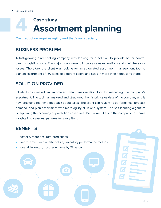### **Assortment planning Case study 4**

**Cost reduction requires agility and that's our specialty**

#### **BUSINESS PROBLEM**

A fast-growing direct selling company was looking for a solution to provide better control over its logistics costs. The major goals were to improve sales estimations and minimize stock losses. Therefore, the client was looking for an automated assortment management tool to plan an assortment of 150 items of different colors and sizes in more than a thousand stores.

#### **SOLUTION PROVIDED**

InData Labs created an automated data transformation tool for managing the company's assortment. The tool has analyzed and structured the historic sales data of the company and is now providing real-time feedback about sales. The client can review its performance, forecast demand, and plan assortment with more agility all in one system. The self-learning algorithm is improving the accuracy of predictions over time. Decision-makers in the company now have insights into seasonal patterns for every item.

- faster & more accurate predictions
- improvement in a number of key inventory performance metrics
- overall inventory cost reductions by 15 percent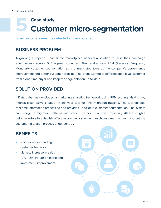### **Customer micro-segmentation Case study 5**

**Loyal customers must be detected and encouraged**

#### **BUSINESS PROBLEM**

A growing European E-commerce marketplace needed a solution to raise their campaign effectiveness across 5 European countries. The retailer saw RFM (Recency Frequency Monetary) customer segmentation as a primary step towards the company's performance improvement and better customer profiling. The client wanted to differentiate a loyal customer from a one-time buyer and keep the segmentation up-to-date.

#### **SOLUTION PROVIDED**

InData Labs has developed a marketing analytics framework using RFM scoring. Having key metrics clear, we've created an analytics tool for RFM migration tracking. The tool enables real-time information processing and provides up-to-date customer segmentation. The system can recognize migration patterns and predict the next purchase propensity. All the insights help marketers to establish effective communication with each customer segment and put the customer migration process under control.

- a better understanding of customer behavior
- ultimate increase in sales
- 10% ROMI (return on marketing investment) improvement

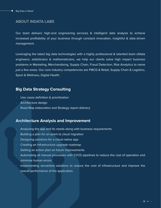#### **ABOUT INDATA LABS**

Our team delivers high-end engineering services & intelligent data analysis to achieve increased profitability of your business through constant innovation, insightful & data-driven management.

Leveraging the latest big data technologies with a highly professional & talented team ofdata engineers, statisticians & mathematicians, we help our clients solve high impact business problems in Marketing, Merchandising, Supply Chain, Fraud Detection, Risk Analytics to name just a few areas. Our core industry competencies are FMCG & Retail, Supply Chain & Logistics, Sport & Wellness, Digital Health.

#### **Big Data Strategy Consulting**

- Use cases definition & prioritization
- Architecture design
- Road Map elaboration and Strategy report delivery

#### **Architecture Analysis and Improvement**

- Analyzing the app and its needs along with business requirements
- Building a plan for on-prem to cloud migration
- Designing solutions for a cloud-native app
- Creating an infrastructure upgrade roadmap
- Getting an action plan on future improvements
- Automating all manual processes with CI/CD pipelines to reduce the cost of operation and minimize human errors
- Implementing serverless solutions to reduce the cost of infrastructure and improve the overall performance of the application.